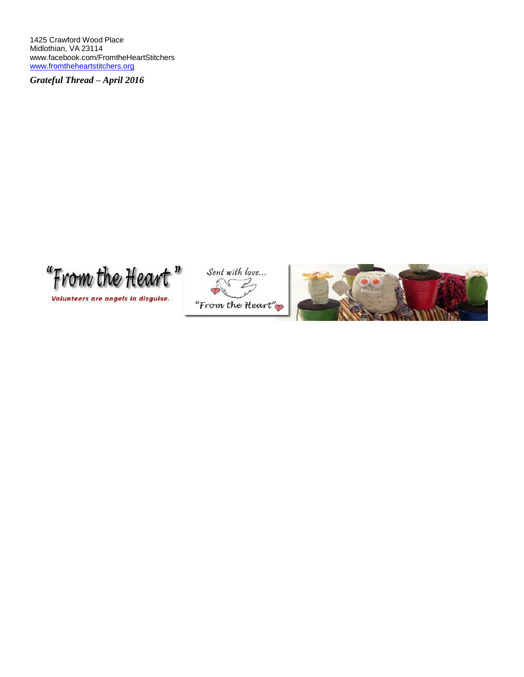1425 Crawford Wood Place Midlothian, VA 23114 [www.facebook.com/FromtheHeartStitchers](http://www.facebook.com/FromtheHeartStitchers) [www.fromtheheartstitchers.org](http://www.fromtheheartstitchers.org/)

*Grateful Thread – April 2016*

"From the Heart"

Volunteers are angels in disguise.



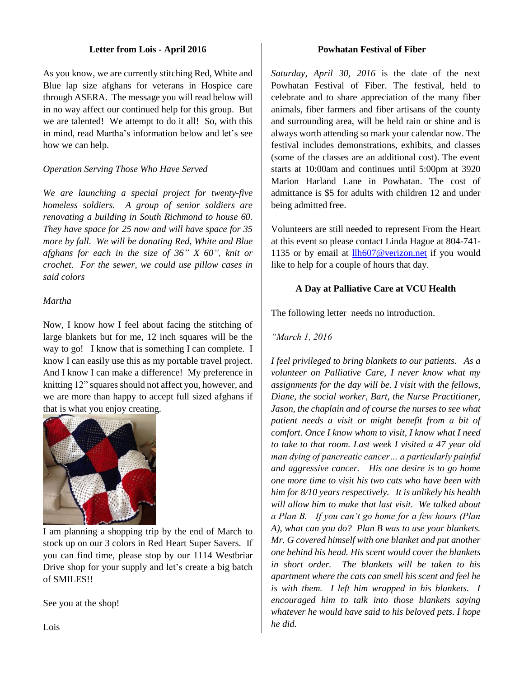#### **Letter from Lois - April 2016**

As you know, we are currently stitching Red, White and Blue lap size afghans for veterans in Hospice care through ASERA. The message you will read below will in no way affect our continued help for this group. But we are talented! We attempt to do it all! So, with this in mind, read Martha's information below and let's see how we can help.

### *Operation Serving Those Who Have Served*

*We are launching a special project for twenty-five homeless soldiers. A group of senior soldiers are renovating a building in South Richmond to house 60. They have space for 25 now and will have space for 35 more by fall. We will be donating Red, White and Blue afghans for each in the size of 36" X 60", knit or crochet. For the sewer, we could use pillow cases in said colors*

#### *Martha*

Now, I know how I feel about facing the stitching of large blankets but for me, 12 inch squares will be the way to go! I know that is something I can complete. I know I can easily use this as my portable travel project. And I know I can make a difference! My preference in knitting 12" squares should not affect you, however, and we are more than happy to accept full sized afghans if that is what you enjoy creating.



I am planning a shopping trip by the end of March to stock up on our 3 colors in Red Heart Super Savers. If you can find time, please stop by our 1114 Westbriar Drive shop for your supply and let's create a big batch of SMILES!!

See you at the shop!

#### **Powhatan Festival of Fiber**

*Saturday, April 30, 2016* is the date of the next Powhatan Festival of Fiber. The festival, held to celebrate and to share appreciation of the many fiber animals, fiber farmers and fiber artisans of the county and surrounding area, will be held rain or shine and is always worth attending so mark your calendar now. The festival includes demonstrations, exhibits, and classes (some of the classes are an additional cost). The event starts at 10:00am and continues until 5:00pm at 3920 Marion Harland Lane in Powhatan. The cost of admittance is \$5 for adults with children 12 and under being admitted free.

Volunteers are still needed to represent From the Heart at this event so please contact Linda Hague at 804-741- 1135 or by email at [llh607@verizon.net](mailto:llh607@verizon.net) if you would like to help for a couple of hours that day.

### **A Day at Palliative Care at VCU Health**

The following letter needs no introduction.

*"March 1, 2016*

*I feel privileged to bring blankets to our patients. As a volunteer on Palliative Care, I never know what my assignments for the day will be. I visit with the fellows, Diane, the social worker, Bart, the Nurse Practitioner, Jason, the chaplain and of course the nurses to see what patient needs a visit or might benefit from a bit of comfort. Once I know whom to visit, I know what I need to take to that room. Last week I visited a 47 year old man dying of pancreatic cancer… a particularly painful and aggressive cancer. His one desire is to go home one more time to visit his two cats who have been with him for 8/10 years respectively. It is unlikely his health will allow him to make that last visit. We talked about a Plan B. If you can't go home for a few hours (Plan A), what can you do? Plan B was to use your blankets. Mr. G covered himself with one blanket and put another one behind his head. His scent would cover the blankets in short order. The blankets will be taken to his apartment where the cats can smell his scent and feel he is with them. I left him wrapped in his blankets. I encouraged him to talk into those blankets saying whatever he would have said to his beloved pets. I hope he did.*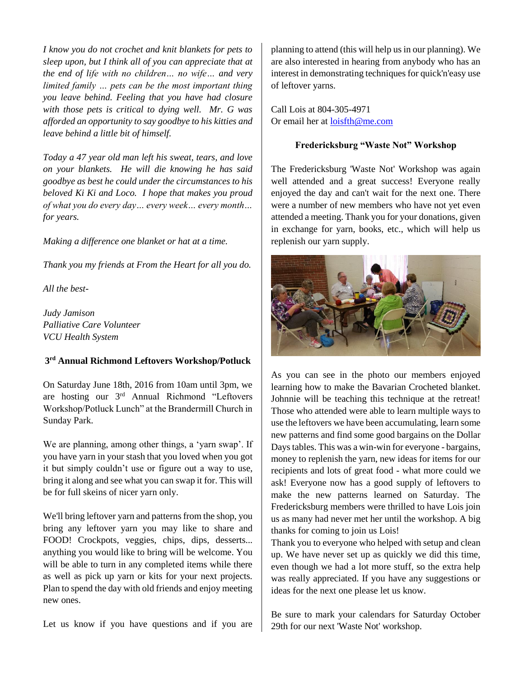*I know you do not crochet and knit blankets for pets to sleep upon, but I think all of you can appreciate that at the end of life with no children… no wife… and very limited family … pets can be the most important thing you leave behind. Feeling that you have had closure with those pets is critical to dying well. Mr. G was afforded an opportunity to say goodbye to his kitties and leave behind a little bit of himself.*

*Today a 47 year old man left his sweat, tears, and love on your blankets. He will die knowing he has said goodbye as best he could under the circumstances to his beloved Ki Ki and Loco. I hope that makes you proud of what you do every day… every week… every month… for years.*

*Making a difference one blanket or hat at a time.*

*Thank you my friends at From the Heart for all you do.* 

*All the best-*

*Judy Jamison Palliative Care Volunteer VCU Health System*

#### **3 rd Annual Richmond Leftovers Workshop/Potluck**

On Saturday June 18th, 2016 from 10am until 3pm, we are hosting our 3rd Annual Richmond "Leftovers Workshop/Potluck Lunch" at the Brandermill Church in Sunday Park.

We are planning, among other things, a 'yarn swap'. If you have yarn in your stash that you loved when you got it but simply couldn't use or figure out a way to use, bring it along and see what you can swap it for. This will be for full skeins of nicer yarn only.

We'll bring leftover yarn and patterns from the shop, you bring any leftover yarn you may like to share and FOOD! Crockpots, veggies, chips, dips, desserts... anything you would like to bring will be welcome. You will be able to turn in any completed items while there as well as pick up yarn or kits for your next projects. Plan to spend the day with old friends and enjoy meeting new ones.

Let us know if you have questions and if you are

planning to attend (this will help us in our planning). We are also interested in hearing from anybody who has an interest in demonstrating techniques for quick'n'easy use of leftover yarns.

Call Lois at 804-305-4971 Or email her at [loisfth@me.com](mailto:loisfth@me.com)

#### **Fredericksburg "Waste Not" Workshop**

The Fredericksburg 'Waste Not' Workshop was again well attended and a great success! Everyone really enjoyed the day and can't wait for the next one. There were a number of new members who have not yet even attended a meeting. Thank you for your donations, given in exchange for yarn, books, etc., which will help us replenish our yarn supply.



As you can see in the photo our members enjoyed learning how to make the Bavarian Crocheted blanket. Johnnie will be teaching this technique at the retreat! Those who attended were able to learn multiple ways to use the leftovers we have been accumulating, learn some new patterns and find some good bargains on the Dollar Days tables. This was a win-win for everyone - bargains, money to replenish the yarn, new ideas for items for our recipients and lots of great food - what more could we ask! Everyone now has a good supply of leftovers to make the new patterns learned on Saturday. The Fredericksburg members were thrilled to have Lois join us as many had never met her until the workshop. A big thanks for coming to join us Lois!

Thank you to everyone who helped with setup and clean up. We have never set up as quickly we did this time, even though we had a lot more stuff, so the extra help was really appreciated. If you have any suggestions or ideas for the next one please let us know.

Be sure to mark your calendars for Saturday October 29th for our next 'Waste Not' workshop.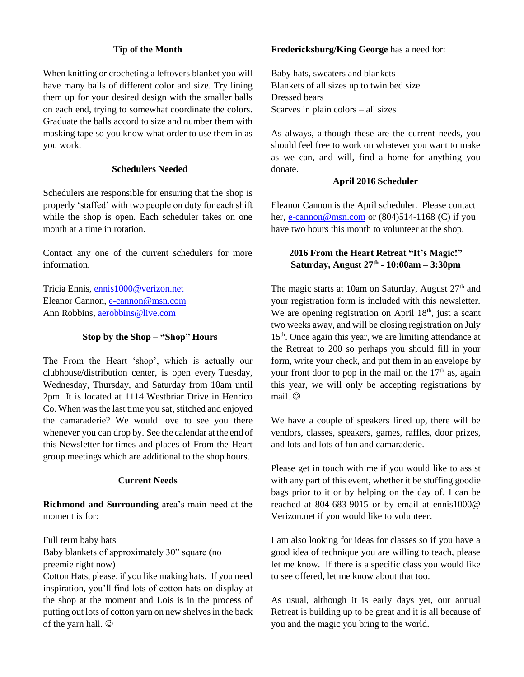## **Tip of the Month**

When knitting or crocheting a leftovers blanket you will have many balls of different color and size. Try lining them up for your desired design with the smaller balls on each end, trying to somewhat coordinate the colors. Graduate the balls accord to size and number them with masking tape so you know what order to use them in as you work.

### **Schedulers Needed**

Schedulers are responsible for ensuring that the shop is properly 'staffed' with two people on duty for each shift while the shop is open. Each scheduler takes on one month at a time in rotation.

Contact any one of the current schedulers for more information.

Tricia Ennis, [ennis1000@verizon.net](mailto:ennis1000@verizon.net) Eleanor Cannon, [e-cannon@msn.com](mailto:e-cannon@msn.com) Ann Robbins, [aerobbins@live.com](mailto:aerobbins@live.com)

### **Stop by the Shop – "Shop" Hours**

The From the Heart 'shop', which is actually our clubhouse/distribution center, is open every Tuesday, Wednesday, Thursday, and Saturday from 10am until 2pm. It is located at 1114 Westbriar Drive in Henrico Co. When was the last time you sat, stitched and enjoyed the camaraderie? We would love to see you there whenever you can drop by. See the calendar at the end of this Newsletter for times and places of From the Heart group meetings which are additional to the shop hours.

### **Current Needs**

**Richmond and Surrounding** area's main need at the moment is for:

Full term baby hats Baby blankets of approximately 30" square (no preemie right now)

Cotton Hats, please, if you like making hats. If you need inspiration, you'll find lots of cotton hats on display at the shop at the moment and Lois is in the process of putting out lots of cotton yarn on new shelves in the back of the yarn hall.  $\odot$ 

#### **Fredericksburg/King George** has a need for:

Baby hats, sweaters and blankets Blankets of all sizes up to twin bed size Dressed bears Scarves in plain colors – all sizes

As always, although these are the current needs, you should feel free to work on whatever you want to make as we can, and will, find a home for anything you donate.

### **April 2016 Scheduler**

Eleanor Cannon is the April scheduler. Please contact her, [e-cannon@msn.com](mailto:e-cannon@msn.com) or  $(804)514-1168$  (C) if you have two hours this month to volunteer at the shop.

## **2016 From the Heart Retreat "It's Magic!" Saturday, August 27th - 10:00am – 3:30pm**

The magic starts at 10am on Saturday, August  $27<sup>th</sup>$  and your registration form is included with this newsletter. We are opening registration on April  $18<sup>th</sup>$ , just a scant two weeks away, and will be closing registration on July 15<sup>th</sup>. Once again this year, we are limiting attendance at the Retreat to 200 so perhaps you should fill in your form, write your check, and put them in an envelope by your front door to pop in the mail on the  $17<sup>th</sup>$  as, again this year, we will only be accepting registrations by mail.  $\odot$ 

We have a couple of speakers lined up, there will be vendors, classes, speakers, games, raffles, door prizes, and lots and lots of fun and camaraderie.

Please get in touch with me if you would like to assist with any part of this event, whether it be stuffing goodie bags prior to it or by helping on the day of. I can be reached at 804-683-9015 or by email at ennis1000@ Verizon.net if you would like to volunteer.

I am also looking for ideas for classes so if you have a good idea of technique you are willing to teach, please let me know. If there is a specific class you would like to see offered, let me know about that too.

As usual, although it is early days yet, our annual Retreat is building up to be great and it is all because of you and the magic you bring to the world.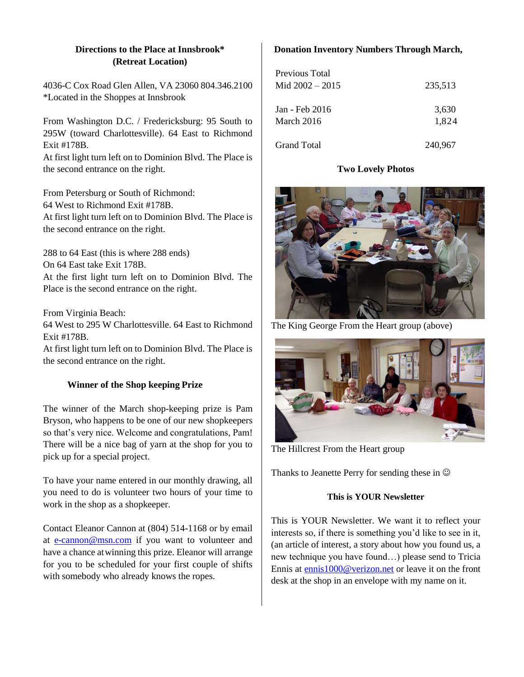## **Directions to the Place at Innsbrook\* (Retreat Location)**

4036-C Cox Road Glen Allen, VA 23060 804.346.2100 \*Located in the Shoppes at Innsbrook

From Washington D.C. / Fredericksburg: 95 South to 295W (toward Charlottesville). 64 East to Richmond Exit #178B.

At first light turn left on to Dominion Blvd. The Place is the second entrance on the right.

From Petersburg or South of Richmond: 64 West to Richmond Exit #178B. At first light turn left on to Dominion Blvd. The Place is the second entrance on the right.

288 to 64 East (this is where 288 ends) On 64 East take Exit 178B. At the first light turn left on to Dominion Blvd. The Place is the second entrance on the right.

From Virginia Beach:

64 West to 295 W Charlottesville. 64 East to Richmond Exit #178B.

At first light turn left on to Dominion Blvd. The Place is the second entrance on the right.

# **Winner of the Shop keeping Prize**

The winner of the March shop-keeping prize is Pam Bryson, who happens to be one of our new shopkeepers so that's very nice. Welcome and congratulations, Pam! There will be a nice bag of yarn at the shop for you to pick up for a special project.

To have your name entered in our monthly drawing, all you need to do is volunteer two hours of your time to work in the shop as a shopkeeper.

Contact Eleanor Cannon at (804) 514-1168 or by email at [e-cannon@msn.com](mailto:e-cannon@msn.com) if you want to volunteer and have a chance atwinning this prize. Eleanor will arrange for you to be scheduled for your first couple of shifts with somebody who already knows the ropes.

# **Donation Inventory Numbers Through March,**

| Previous Total<br>Mid $2002 - 2015$ | 235,513 |  |  |
|-------------------------------------|---------|--|--|
| Jan - Feb 2016                      | 3,630   |  |  |
| March 2016                          | 1.824   |  |  |
| <b>Grand Total</b>                  | 240,967 |  |  |

# **Two Lovely Photos**



The King George From the Heart group (above)



The Hillcrest From the Heart group

Thanks to Jeanette Perry for sending these in  $\odot$ 

### **This is YOUR Newsletter**

This is YOUR Newsletter. We want it to reflect your interests so, if there is something you'd like to see in it, (an article of interest, a story about how you found us, a new technique you have found…) please send to Tricia Ennis at [ennis1000@verizon.net](mailto:ennis1000@verizon.net) or leave it on the front desk at the shop in an envelope with my name on it.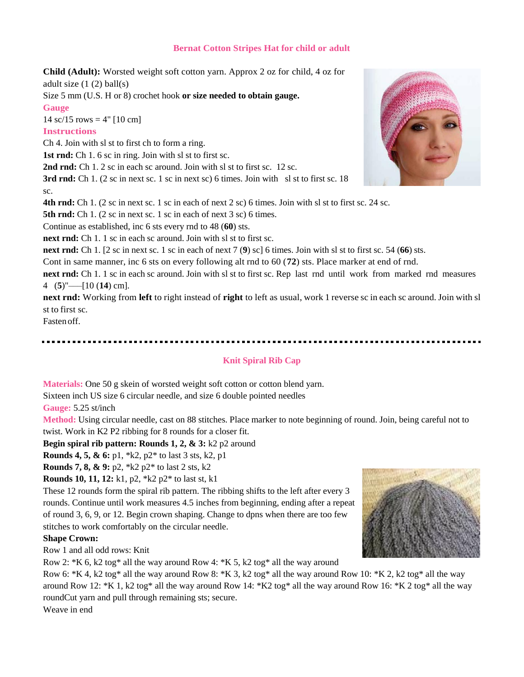#### **Bernat Cotton Stripes Hat for child or adult**

**Child (Adult):** Worsted weight soft cotton yarn. Approx 2 oz for child, 4 oz for adult size  $(1 (2)$  ball $(s)$ 

Size 5 mm (U.S. H or 8) crochet hook **or size needed to obtain gauge. Gauge**

14 sc/15 rows =  $4"$  [10 cm]

#### **Instructions**

Ch 4. Join with sl st to first ch to form a ring.

1st rnd: Ch 1. 6 sc in ring. Join with sl st to first sc.

**2nd rnd:** Ch 1. 2 sc in each sc around. Join with sl st to first sc. 12 sc.

3rd rnd: Ch 1. (2 sc in next sc. 1 sc in next sc) 6 times. Join with sl st to first sc. 18 sc.

**4th rnd:** Ch 1. (2 sc in next sc. 1 sc in each of next 2 sc) 6 times. Join with sl st to first sc. 24 sc.

**5th rnd:** Ch 1. (2 sc in next sc. 1 sc in each of next 3 sc) 6 times.

Continue as established, inc 6 sts every rnd to 48 (**60**) sts.

**next rnd:** Ch 1. 1 sc in each sc around. Join with sl st to first sc.

**next rnd:** Ch 1. [2 sc in next sc. 1 sc in each of next 7 (**9**) sc] 6 times. Join with sl st to first sc. 54 (**66**) sts.

Cont in same manner, inc 6 sts on every following alt rnd to 60 (**72**) sts. Place marker at end of rnd.

**next rnd:** Ch 1. 1 sc in each sc around. Join with sl st to first sc. Rep last rnd until work from marked rnd measures 4 (**5**)"–––[10 (**14**) cm].

**next rnd:** Working from **left** to right instead of **right** to left as usual, work 1 reverse sc in each sc around. Join with sl st to first sc.

Fasten off.

#### **Knit Spiral Rib Cap**

**Materials:** One 50 g skein of worsted weight soft cotton or cotton blend yarn.

Sixteen inch US size 6 circular needle, and size 6 double pointed needles

**Gauge:** 5.25 st/inch

**Method:** Using circular needle, cast on 88 stitches. Place marker to note beginning of round. Join, being careful not to twist. Work in K2 P2 ribbing for 8 rounds for a closer fit.

**Begin spiral rib pattern: Rounds 1, 2, & 3:** k2 p2 around

**Rounds 4, 5, & 6:** p1, \*k2, p2\* to last 3 sts, k2, p1

**Rounds 7, 8, & 9:** p2, \*k2 p2\* to last 2 sts, k2

**Rounds 10, 11, 12:** k1, p2, \*k2 p2\* to last st, k1

These 12 rounds form the spiral rib pattern. The ribbing shifts to the left after every 3 rounds. Continue until work measures 4.5 inches from beginning, ending after a repeat of round 3, 6, 9, or 12. Begin crown shaping. Change to dpns when there are too few stitches to work comfortably on the circular needle.

#### **Shape Crown:**

Row 1 and all odd rows: Knit

Row 2:  $*K 6$ , k2 tog\* all the way around Row 4:  $*K 5$ , k2 tog\* all the way around

Row 6: \*K 4, k2 tog\* all the way around Row 8: \*K 3, k2 tog\* all the way around Row 10: \*K 2, k2 tog\* all the way around Row 12: \*K 1, k2 tog\* all the way around Row 14: \*K2 tog\* all the way around Row 16: \*K 2 tog\* all the way roundCut yarn and pull through remaining sts; secure.

Weave in end



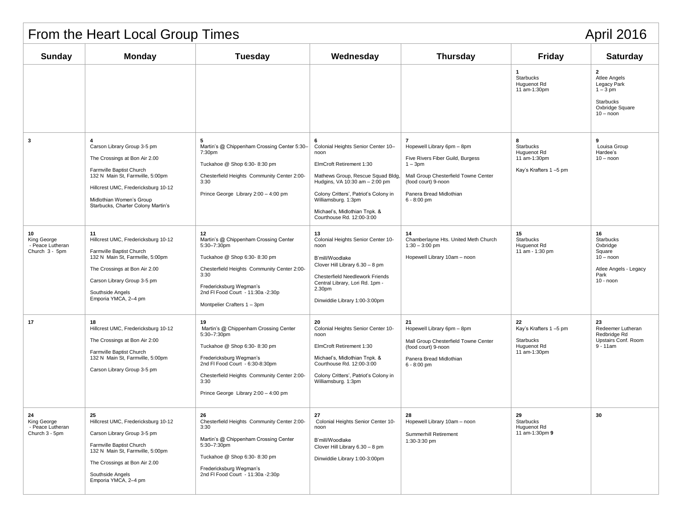| From the Heart Local Group Times<br><b>April 2016</b>   |                                                                                                                                                                                                                                       |                                                                                                                                                                                                                                                         |                                                                                                                                                                                                                                                                                  |                                                                                                                                                                                             |                                                                         |                                                                                                             |  |  |
|---------------------------------------------------------|---------------------------------------------------------------------------------------------------------------------------------------------------------------------------------------------------------------------------------------|---------------------------------------------------------------------------------------------------------------------------------------------------------------------------------------------------------------------------------------------------------|----------------------------------------------------------------------------------------------------------------------------------------------------------------------------------------------------------------------------------------------------------------------------------|---------------------------------------------------------------------------------------------------------------------------------------------------------------------------------------------|-------------------------------------------------------------------------|-------------------------------------------------------------------------------------------------------------|--|--|
| <b>Sunday</b>                                           | <b>Monday</b>                                                                                                                                                                                                                         | <b>Tuesday</b>                                                                                                                                                                                                                                          | Wednesday                                                                                                                                                                                                                                                                        | <b>Thursday</b>                                                                                                                                                                             | <b>Friday</b>                                                           | <b>Saturday</b>                                                                                             |  |  |
|                                                         |                                                                                                                                                                                                                                       |                                                                                                                                                                                                                                                         |                                                                                                                                                                                                                                                                                  |                                                                                                                                                                                             | $\mathbf{1}$<br>Starbucks<br>Huguenot Rd<br>11 am-1:30pm                | $\overline{2}$<br>Atlee Angels<br>Legacy Park<br>$1 - 3$ pm<br>Starbucks<br>Oxbridge Square<br>$10 -$ noon  |  |  |
| 3                                                       | Carson Library Group 3-5 pm<br>The Crossings at Bon Air 2.00<br>Farmville Baptist Church<br>132 N Main St, Farmville, 5:00pm<br>Hillcrest UMC, Fredericksburg 10-12<br>Midlothian Women's Group<br>Starbucks, Charter Colony Martin's | 5<br>Martin's @ Chippenham Crossing Center 5:30-<br>7:30pm<br>Tuckahoe @ Shop 6:30-8:30 pm<br>Chesterfield Heights Community Center 2:00-<br>3:30<br>Prince George Library 2:00 - 4:00 pm                                                               | 6<br>Colonial Heights Senior Center 10-<br>noon<br>ElmCroft Retirement 1:30<br>Mathews Group, Rescue Squad Bldg,<br>Hudgins, VA 10:30 am - 2:00 pm<br>Colony Critters', Patriot's Colony in<br>Williamsburg. 1:3pm<br>Michael's, Midlothian Tnpk. &<br>Courthouse Rd. 12:00-3:00 | 7<br>Hopewell Library 6pm - 8pm<br>Five Rivers Fiber Guild, Burgess<br>$1 - 3pm$<br>Mall Group Chesterfield Towne Center<br>(food court) 9-noon<br>Panera Bread Midlothian<br>$6 - 8:00$ pm | 8<br>Starbucks<br>Huguenot Rd<br>11 am-1:30pm<br>Kay's Krafters 1-5 pm  | 9<br>Louisa Group<br>Hardee's<br>$10 -$ noon                                                                |  |  |
| 10<br>King George<br>- Peace Lutheran<br>Church 3 - 5pm | 11<br>Hillcrest UMC, Fredericksburg 10-12<br>Farmville Baptist Church<br>132 N Main St, Farmville, 5:00pm<br>The Crossings at Bon Air 2.00<br>Carson Library Group 3-5 pm<br>Southside Angels<br>Emporia YMCA, 2-4 pm                 | 12<br>Martin's @ Chippenham Crossing Center<br>5:30-7:30pm<br>Tuckahoe @ Shop 6:30-8:30 pm<br>Chesterfield Heights Community Center 2:00-<br>3:30<br>Fredericksburg Wegman's<br>2nd FI Food Court - 11:30a -2:30p<br>Montpelier Crafters 1 - 3pm        | 13<br>Colonial Heights Senior Center 10-<br>noon<br>B'mill/Woodlake<br>Clover Hill Library 6.30 - 8 pm<br>Chesterfield Needlework Friends<br>Central Library, Lori Rd. 1pm -<br>2.30pm<br>Dinwiddie Library 1:00-3:00pm                                                          | 14<br>Chamberlayne Hts. United Meth Church<br>$1:30 - 3:00$ pm<br>Hopewell Library 10am - noon                                                                                              | 15<br>Starbucks<br>Huguenot Rd<br>11 am - 1:30 pm                       | 16<br><b>Starbucks</b><br>Oxbridge<br>Square<br>$10 -$ noon<br>Atlee Angels - Legacy<br>Park<br>$10 -$ noon |  |  |
| 17                                                      | 18<br>Hillcrest UMC, Fredericksburg 10-12<br>The Crossings at Bon Air 2:00<br>Farmville Baptist Church<br>132 N Main St, Farmville, 5:00pm<br>Carson Library Group 3-5 pm                                                             | 19<br>Martin's @ Chippenham Crossing Center<br>5:30-7:30pm<br>Tuckahoe @ Shop 6:30-8:30 pm<br>Fredericksburg Wegman's<br>2nd FI Food Court - 6:30-8:30pm<br>Chesterfield Heights Community Center 2:00-<br>3:30<br>Prince George Library 2:00 - 4:00 pm | 20<br>Colonial Heights Senior Center 10-<br>noon<br>ElmCroft Retirement 1:30<br>Michael's, Midlothian Tnpk. &<br>Courthouse Rd. 12:00-3:00<br>Colony Critters', Patriot's Colony in<br>Williamsburg. 1:3pm                                                                       | -21<br>Hopewell Library 6pm - 8pm<br>Mall Group Chesterfield Towne Center<br>(food court) 9-noon<br>Panera Bread Midlothian<br>$6 - 8:00$ pm                                                | 22<br>Kay's Krafters 1-5 pm<br>Starbucks<br>Huguenot Rd<br>11 am-1:30pm | 23<br>Redeemer Lutheran<br>Redbridge Rd<br>Upstairs Conf. Room<br>$9 - 11$ am                               |  |  |
| 24<br>King George<br>- Peace Lutheran<br>Church 3 - 5pm | 25<br>Hillcrest UMC, Fredericksburg 10-12<br>Carson Library Group 3-5 pm<br>Farmville Baptist Church<br>132 N Main St, Farmville, 5:00pm<br>The Crossings at Bon Air 2.00<br>Southside Angels<br>Emporia YMCA, 2-4 pm                 | 26<br>Chesterfield Heights Community Center 2:00-<br>3:30<br>Martin's @ Chippenham Crossing Center<br>5:30-7:30pm<br>Tuckahoe @ Shop 6:30-8:30 pm<br>Fredericksburg Wegman's<br>2nd FI Food Court - 11:30a - 2:30p                                      | 27<br>Colonial Heights Senior Center 10-<br>noon<br>B'mill/Woodlake<br>Clover Hill Library 6.30 - 8 pm<br>Dinwiddie Library 1:00-3:00pm                                                                                                                                          | 28<br>Hopewell Library 10am - noon<br>Summerhill Retirement<br>1:30-3:30 pm                                                                                                                 | 29<br>Starbucks<br>Huguenot Rd<br>11 am-1:30pm 9                        | 30                                                                                                          |  |  |